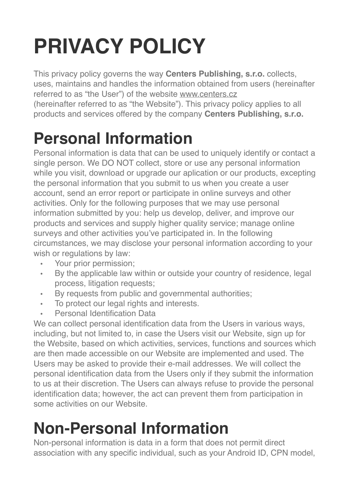# **PRIVACY POLICY**

This privacy policy governs the way **Centers Publishing, s.r.o.** collects, uses, maintains and handles the information obtained from users (hereinafter referred to as "the User") of the website [www.centers.cz](http://www.centers.cz) (hereinafter referred to as "the Website"). This privacy policy applies to all products and services offered by the company **Centers Publishing, s.r.o.**

#### **Personal Information**

Personal information is data that can be used to uniquely identify or contact a single person. We DO NOT collect, store or use any personal information while you visit, download or upgrade our aplication or our products, excepting the personal information that you submit to us when you create a user account, send an error report or participate in online surveys and other activities. Only for the following purposes that we may use personal information submitted by you: help us develop, deliver, and improve our products and services and supply higher quality service; manage online surveys and other activities you've participated in. In the following circumstances, we may disclose your personal information according to your wish or regulations by law:

- Your prior permission:
- By the applicable law within or outside your country of residence, legal process, litigation requests;
- By requests from public and governmental authorities;
- To protect our legal rights and interests.
- Personal Identification Data

We can collect personal identification data from the Users in various ways, including, but not limited to, in case the Users visit our Website, sign up for the Website, based on which activities, services, functions and sources which are then made accessible on our Website are implemented and used. The Users may be asked to provide their e-mail addresses. We will collect the personal identification data from the Users only if they submit the information to us at their discretion. The Users can always refuse to provide the personal identification data; however, the act can prevent them from participation in some activities on our Website.

## **Non-Personal Information**

Non-personal information is data in a form that does not permit direct association with any specific individual, such as your Android ID, CPN model,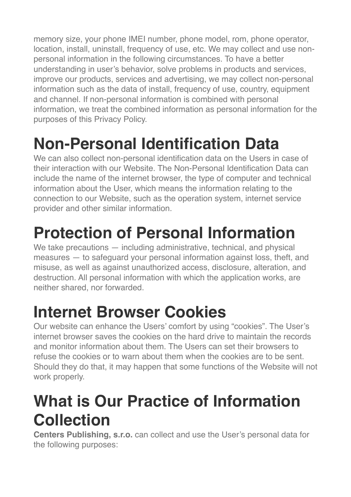memory size, your phone IMEI number, phone model, rom, phone operator, location, install, uninstall, frequency of use, etc. We may collect and use nonpersonal information in the following circumstances. To have a better understanding in user's behavior, solve problems in products and services, improve our products, services and advertising, we may collect non-personal information such as the data of install, frequency of use, country, equipment and channel. If non-personal information is combined with personal information, we treat the combined information as personal information for the purposes of this Privacy Policy.

## **Non-Personal Identification Data**

We can also collect non-personal identification data on the Users in case of their interaction with our Website. The Non-Personal Identification Data can include the name of the internet browser, the type of computer and technical information about the User, which means the information relating to the connection to our Website, such as the operation system, internet service provider and other similar information.

## **Protection of Personal Information**

We take precautions — including administrative, technical, and physical measures — to safeguard your personal information against loss, theft, and misuse, as well as against unauthorized access, disclosure, alteration, and destruction. All personal information with which the application works, are neither shared, nor forwarded.

#### **Internet Browser Cookies**

Our website can enhance the Users' comfort by using "cookies". The User's internet browser saves the cookies on the hard drive to maintain the records and monitor information about them. The Users can set their browsers to refuse the cookies or to warn about them when the cookies are to be sent. Should they do that, it may happen that some functions of the Website will not work properly.

#### **What is Our Practice of Information Collection**

**Centers Publishing, s.r.o.** can collect and use the User's personal data for the following purposes: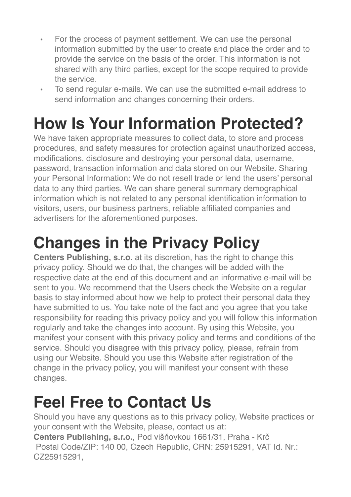- For the process of payment settlement. We can use the personal information submitted by the user to create and place the order and to provide the service on the basis of the order. This information is not shared with any third parties, except for the scope required to provide the service.
- To send regular e-mails. We can use the submitted e-mail address to send information and changes concerning their orders.

## **How Is Your Information Protected?**

We have taken appropriate measures to collect data, to store and process procedures, and safety measures for protection against unauthorized access, modifications, disclosure and destroying your personal data, username, password, transaction information and data stored on our Website. Sharing your Personal Information: We do not resell trade or lend the users' personal data to any third parties. We can share general summary demographical information which is not related to any personal identification information to visitors, users, our business partners, reliable affiliated companies and advertisers for the aforementioned purposes.

## **Changes in the Privacy Policy**

**Centers Publishing, s.r.o.** at its discretion, has the right to change this privacy policy. Should we do that, the changes will be added with the respective date at the end of this document and an informative e-mail will be sent to you. We recommend that the Users check the Website on a regular basis to stay informed about how we help to protect their personal data they have submitted to us. You take note of the fact and you agree that you take responsibility for reading this privacy policy and you will follow this information regularly and take the changes into account. By using this Website, you manifest your consent with this privacy policy and terms and conditions of the service. Should you disagree with this privacy policy, please, refrain from using our Website. Should you use this Website after registration of the change in the privacy policy, you will manifest your consent with these changes.

#### **Feel Free to Contact Us**

Should you have any questions as to this privacy policy, Website practices or your consent with the Website, please, contact us at:

**Centers Publishing, s.r.o.**, Pod višňovkou 1661/31, Praha - Krč Postal Code/ZIP: 140 00, Czech Republic, CRN: 25915291, VAT Id. Nr.: CZ25915291,